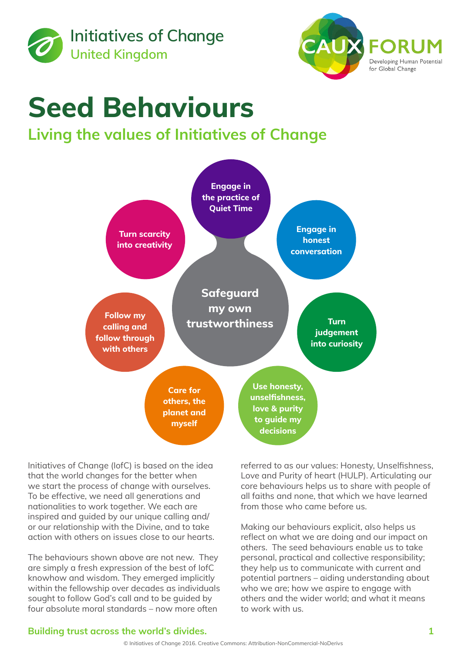



# **Seed Behaviours**

**Living the values of Initiatives of Change**



Initiatives of Change (IofC) is based on the idea that the world changes for the better when we start the process of change with ourselves. To be effective, we need all generations and nationalities to work together. We each are inspired and guided by our unique calling and/ or our relationship with the Divine, and to take action with others on issues close to our hearts.

The behaviours shown above are not new. They are simply a fresh expression of the best of IofC knowhow and wisdom. They emerged implicitly within the fellowship over decades as individuals sought to follow God's call and to be guided by four absolute moral standards – now more often

referred to as our values: Honesty, Unselfishness, Love and Purity of heart (HULP). Articulating our core behaviours helps us to share with people of all faiths and none, that which we have learned from those who came before us.

Making our behaviours explicit, also helps us reflect on what we are doing and our impact on others. The seed behaviours enable us to take personal, practical and collective responsibility; they help us to communicate with current and potential partners – aiding understanding about who we are; how we aspire to engage with others and the wider world; and what it means to work with us.

# **Building trust across the world's divides. 1**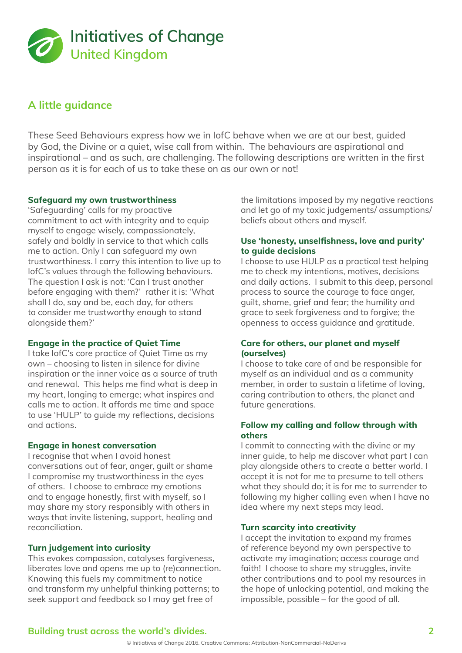

# **A little guidance**

These Seed Behaviours express how we in IofC behave when we are at our best, guided by God, the Divine or a quiet, wise call from within. The behaviours are aspirational and inspirational – and as such, are challenging. The following descriptions are written in the first person as it is for each of us to take these on as our own or not!

## **Safeguard my own trustworthiness**

'Safeguarding' calls for my proactive commitment to act with integrity and to equip myself to engage wisely, compassionately, safely and boldly in service to that which calls me to action. Only I can safeguard my own trustworthiness. I carry this intention to live up to IofC's values through the following behaviours. The question I ask is not: 'Can I trust another before engaging with them?' rather it is: 'What shall I do, say and be, each day, for others to consider me trustworthy enough to stand alongside them?'

## **Engage in the practice of Quiet Time**

I take IofC's core practice of Quiet Time as my own – choosing to listen in silence for divine inspiration or the inner voice as a source of truth and renewal. This helps me find what is deep in my heart, longing to emerge; what inspires and calls me to action. It affords me time and space to use 'HULP' to guide my reflections, decisions and actions.

## **Engage in honest conversation**

I recognise that when I avoid honest conversations out of fear, anger, guilt or shame I compromise my trustworthiness in the eyes of others. I choose to embrace my emotions and to engage honestly, first with myself, so I may share my story responsibly with others in ways that invite listening, support, healing and reconciliation.

## **Turn judgement into curiosity**

This evokes compassion, catalyses forgiveness, liberates love and opens me up to (re)connection. Knowing this fuels my commitment to notice and transform my unhelpful thinking patterns; to seek support and feedback so I may get free of

the limitations imposed by my negative reactions and let go of my toxic judgements/ assumptions/ beliefs about others and myself.

# **Use 'honesty, unselfishness, love and purity' to guide decisions**

I choose to use HULP as a practical test helping me to check my intentions, motives, decisions and daily actions. I submit to this deep, personal process to source the courage to face anger, guilt, shame, grief and fear; the humility and grace to seek forgiveness and to forgive; the openness to access guidance and gratitude.

#### **Care for others, our planet and myself (ourselves)**

I choose to take care of and be responsible for myself as an individual and as a community member, in order to sustain a lifetime of loving, caring contribution to others, the planet and future generations.

# **Follow my calling and follow through with others**

I commit to connecting with the divine or my inner guide, to help me discover what part I can play alongside others to create a better world. I accept it is not for me to presume to tell others what they should do; it is for me to surrender to following my higher calling even when I have no idea where my next steps may lead.

## **Turn scarcity into creativity**

I accept the invitation to expand my frames of reference beyond my own perspective to activate my imagination; access courage and faith! I choose to share my struggles, invite other contributions and to pool my resources in the hope of unlocking potential, and making the impossible, possible – for the good of all.

## **Building trust across the world's divides. 2**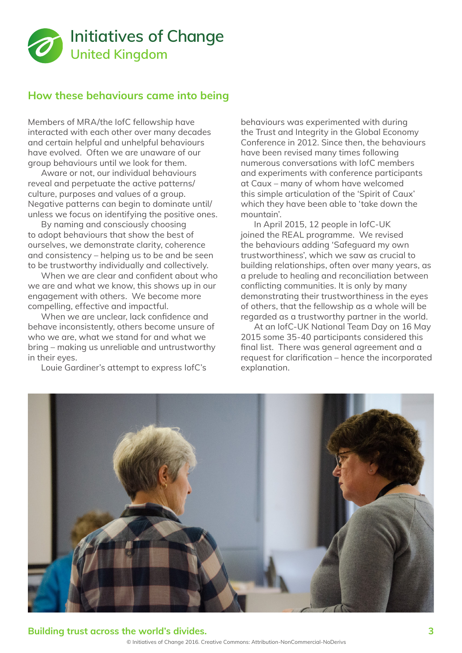

# **How these behaviours came into being**

Members of MRA/the IofC fellowship have interacted with each other over many decades and certain helpful and unhelpful behaviours have evolved. Often we are unaware of our group behaviours until we look for them.

Aware or not, our individual behaviours reveal and perpetuate the active patterns/ culture, purposes and values of a group. Negative patterns can begin to dominate until/ unless we focus on identifying the positive ones.

By naming and consciously choosing to adopt behaviours that show the best of ourselves, we demonstrate clarity, coherence and consistency – helping us to be and be seen to be trustworthy individually and collectively.

When we are clear and confident about who we are and what we know, this shows up in our engagement with others. We become more compelling, effective and impactful.

When we are unclear, lack confidence and behave inconsistently, others become unsure of who we are, what we stand for and what we bring – making us unreliable and untrustworthy in their eyes.

Louie Gardiner's attempt to express IofC's

behaviours was experimented with during the Trust and Integrity in the Global Economy Conference in 2012. Since then, the behaviours have been revised many times following numerous conversations with IofC members and experiments with conference participants at Caux – many of whom have welcomed this simple articulation of the 'Spirit of Caux' which they have been able to 'take down the mountain'.

In April 2015, 12 people in IofC-UK joined the REAL programme. We revised the behaviours adding 'Safeguard my own trustworthiness', which we saw as crucial to building relationships, often over many years, as a prelude to healing and reconciliation between conflicting communities. It is only by many demonstrating their trustworthiness in the eyes of others, that the fellowship as a whole will be regarded as a trustworthy partner in the world.

At an IofC-UK National Team Day on 16 May 2015 some 35-40 participants considered this final list. There was general agreement and a request for clarification – hence the incorporated explanation.



<sup>©</sup> Initiatives of Change 2016. Creative Commons: Attribution-NonCommercial-NoDerivs